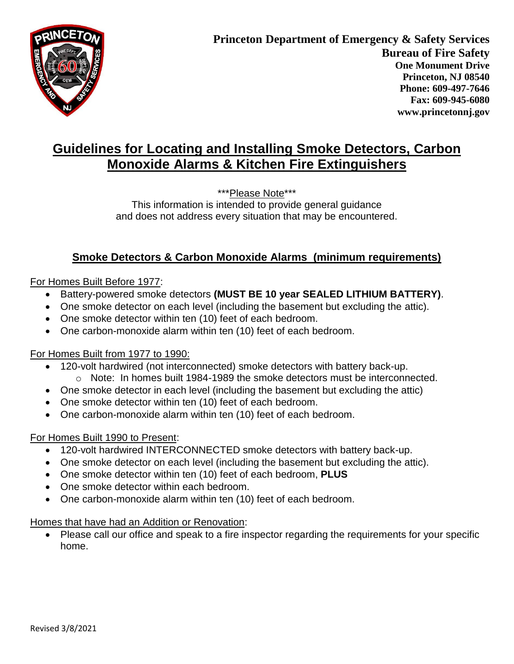

# **Guidelines for Locating and Installing Smoke Detectors, Carbon Monoxide Alarms & Kitchen Fire Extinguishers**

\*\*\*Please Note\*\*\*

This information is intended to provide general guidance and does not address every situation that may be encountered.

### **Smoke Detectors & Carbon Monoxide Alarms (minimum requirements)**

#### For Homes Built Before 1977:

- Battery-powered smoke detectors **(MUST BE 10 year SEALED LITHIUM BATTERY)**.
- One smoke detector on each level (including the basement but excluding the attic).
- One smoke detector within ten (10) feet of each bedroom.
- One carbon-monoxide alarm within ten (10) feet of each bedroom.

#### For Homes Built from 1977 to 1990:

- 120-volt hardwired (not interconnected) smoke detectors with battery back-up.
	- o Note: In homes built 1984-1989 the smoke detectors must be interconnected.
- One smoke detector in each level (including the basement but excluding the attic)
- One smoke detector within ten (10) feet of each bedroom.
- One carbon-monoxide alarm within ten (10) feet of each bedroom.

#### For Homes Built 1990 to Present:

- 120-volt hardwired INTERCONNECTED smoke detectors with battery back-up.
- One smoke detector on each level (including the basement but excluding the attic).
- One smoke detector within ten (10) feet of each bedroom, **PLUS**
- One smoke detector within each bedroom.
- One carbon-monoxide alarm within ten (10) feet of each bedroom.

Homes that have had an Addition or Renovation:

 Please call our office and speak to a fire inspector regarding the requirements for your specific home.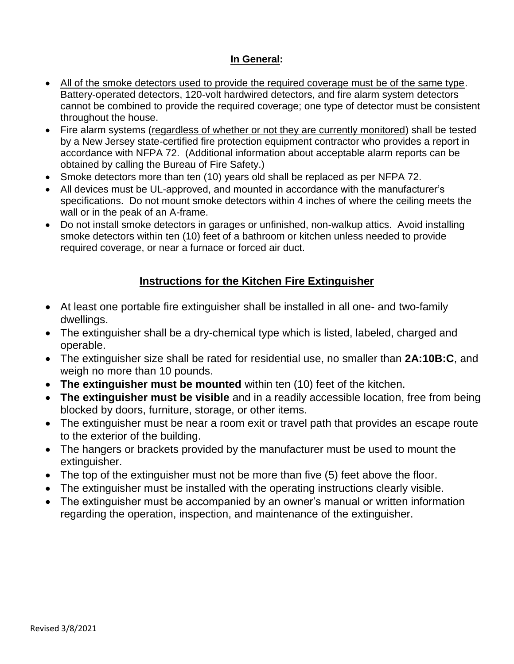### **In General:**

- All of the smoke detectors used to provide the required coverage must be of the same type. Battery-operated detectors, 120-volt hardwired detectors, and fire alarm system detectors cannot be combined to provide the required coverage; one type of detector must be consistent throughout the house.
- Fire alarm systems (regardless of whether or not they are currently monitored) shall be tested by a New Jersey state-certified fire protection equipment contractor who provides a report in accordance with NFPA 72. (Additional information about acceptable alarm reports can be obtained by calling the Bureau of Fire Safety.)
- Smoke detectors more than ten (10) years old shall be replaced as per NFPA 72.
- All devices must be UL-approved, and mounted in accordance with the manufacturer's specifications. Do not mount smoke detectors within 4 inches of where the ceiling meets the wall or in the peak of an A-frame.
- Do not install smoke detectors in garages or unfinished, non-walkup attics. Avoid installing smoke detectors within ten (10) feet of a bathroom or kitchen unless needed to provide required coverage, or near a furnace or forced air duct.

### **Instructions for the Kitchen Fire Extinguisher**

- At least one portable fire extinguisher shall be installed in all one- and two-family dwellings.
- The extinguisher shall be a dry-chemical type which is listed, labeled, charged and operable.
- The extinguisher size shall be rated for residential use, no smaller than **2A:10B:C**, and weigh no more than 10 pounds.
- **The extinguisher must be mounted** within ten (10) feet of the kitchen.
- **The extinguisher must be visible** and in a readily accessible location, free from being blocked by doors, furniture, storage, or other items.
- The extinguisher must be near a room exit or travel path that provides an escape route to the exterior of the building.
- The hangers or brackets provided by the manufacturer must be used to mount the extinguisher.
- The top of the extinguisher must not be more than five (5) feet above the floor.
- The extinguisher must be installed with the operating instructions clearly visible.
- The extinguisher must be accompanied by an owner's manual or written information regarding the operation, inspection, and maintenance of the extinguisher.